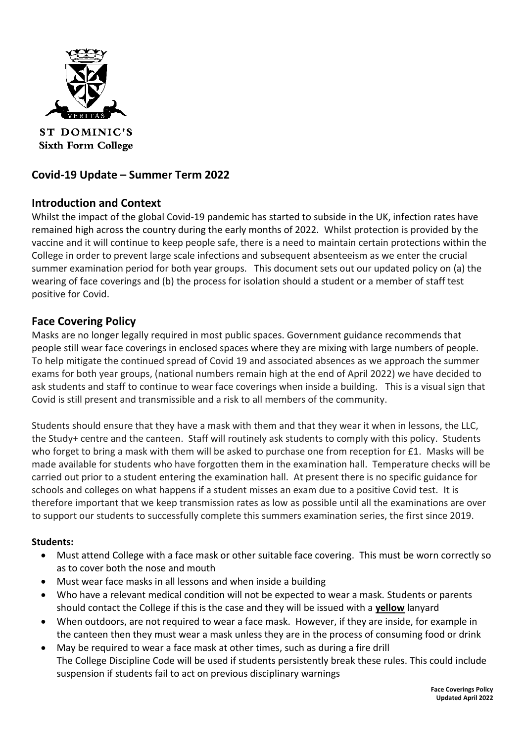

**ST DOMINIC'S Sixth Form College** 

# **Covid-19 Update – Summer Term 2022**

## **Introduction and Context**

Whilst the impact of the global Covid-19 pandemic has started to subside in the UK, infection rates have remained high across the country during the early months of 2022. Whilst protection is provided by the vaccine and it will continue to keep people safe, there is a need to maintain certain protections within the College in order to prevent large scale infections and subsequent absenteeism as we enter the crucial summer examination period for both year groups. This document sets out our updated policy on (a) the wearing of face coverings and (b) the process for isolation should a student or a member of staff test positive for Covid.

## **Face Covering Policy**

Masks are no longer legally required in most public spaces. Government guidance recommends that people still wear face coverings in enclosed spaces where they are mixing with large numbers of people. To help mitigate the continued spread of Covid 19 and associated absences as we approach the summer exams for both year groups, (national numbers remain high at the end of April 2022) we have decided to ask students and staff to continue to wear face coverings when inside a building. This is a visual sign that Covid is still present and transmissible and a risk to all members of the community.

Students should ensure that they have a mask with them and that they wear it when in lessons, the LLC, the Study+ centre and the canteen. Staff will routinely ask students to comply with this policy. Students who forget to bring a mask with them will be asked to purchase one from reception for £1. Masks will be made available for students who have forgotten them in the examination hall. Temperature checks will be carried out prior to a student entering the examination hall. At present there is no specific guidance for schools and colleges on what happens if a student misses an exam due to a positive Covid test. It is therefore important that we keep transmission rates as low as possible until all the examinations are over to support our students to successfully complete this summers examination series, the first since 2019.

#### **Students:**

- Must attend College with a face mask or other suitable face covering. This must be worn correctly so as to cover both the nose and mouth
- Must wear face masks in all lessons and when inside a building
- Who have a relevant medical condition will not be expected to wear a mask. Students or parents should contact the College if this is the case and they will be issued with a **yellow** lanyard
- When outdoors, are not required to wear a face mask. However, if they are inside, for example in the canteen then they must wear a mask unless they are in the process of consuming food or drink
- May be required to wear a face mask at other times, such as during a fire drill The College Discipline Code will be used if students persistently break these rules. This could include suspension if students fail to act on previous disciplinary warnings